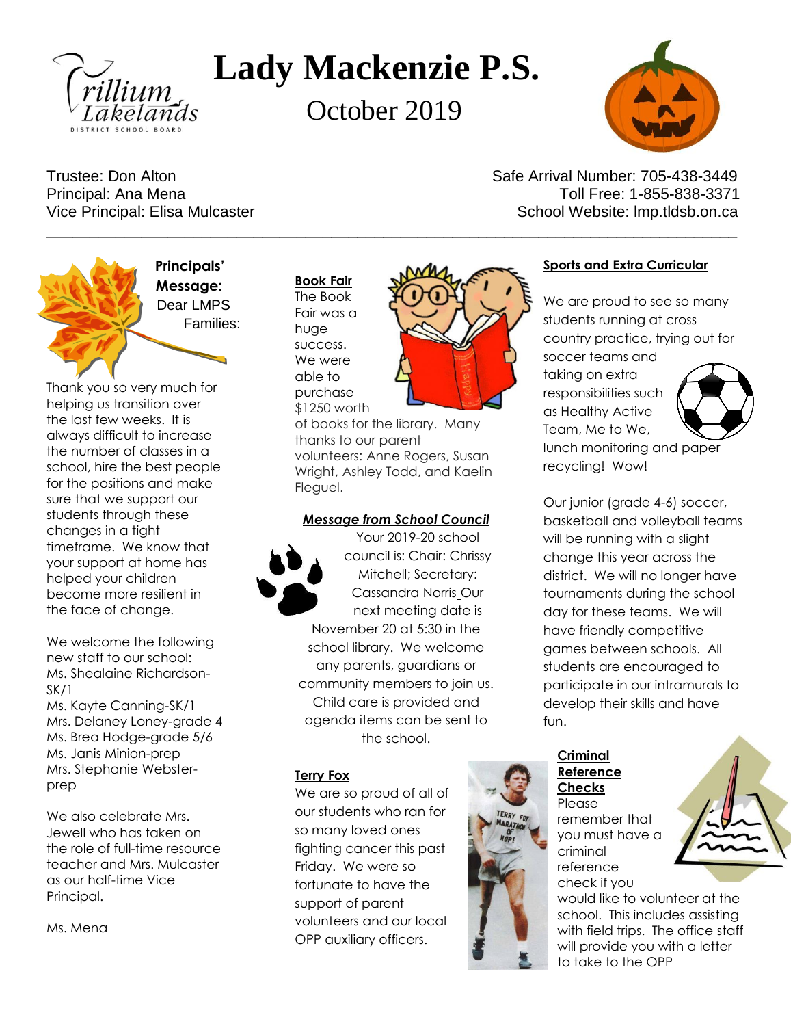

# **Lady Mackenzie P.S.**

October 2019

\_\_\_\_\_\_\_\_\_\_\_\_\_\_\_\_\_\_\_\_\_\_\_\_\_\_\_\_\_\_\_\_\_\_\_\_\_\_\_\_\_\_\_\_\_\_\_\_\_\_\_\_\_\_\_\_\_\_\_\_\_\_\_\_\_\_\_\_\_\_\_\_\_\_\_\_\_\_\_\_



Trustee: Don Alton Safe Arrival Number: 705-438-3449 Principal: Ana Mena Toll Free: 1-855-838-3371 Vice Principal: Elisa Mulcaster New School Website: Imp.tldsb.on.ca



**Principals' Message:** [Dear LMPS](javascript:edit(2536)) Families:

Thank you so very much for helping us transition over the last few weeks. It is always difficult to increase the number of classes in a school, hire the best people for the positions and make sure that we support our students through these changes in a tight timeframe. We know that your support at home has helped your children become more resilient in the face of change.

We welcome the following new staff to our school: Ms. Shealaine Richardson-SK/1

Ms. Kayte Canning-SK/1 Mrs. Delaney Loney-grade 4 Ms. Brea Hodge-grade 5/6 Ms. Janis Minion-prep Mrs. Stephanie Websterprep

We also celebrate Mrs. Jewell who has taken on the role of full-time resource teacher and Mrs. Mulcaster as our half-time Vice Principal.

Ms. Mena

**Book Fair** The Book Fair was a huge success. We were able to purchase

\$1250 worth

of books for the library. Many thanks to our parent volunteers: Anne Rogers, Susan Wright, Ashley Todd, and Kaelin Fleguel.

#### *Message from School Council*

Your 2019-20 school council is: Chair: Chrissy Mitchell; Secretary: Cassandra Norris Our next meeting date is November 20 at 5:30 in the school library. We welcome any parents, guardians or community members to join us. Child care is provided and agenda items can be sent to the school.

#### **Terry Fox**

We are so proud of all of our students who ran for so many loved ones fighting cancer this past Friday. We were so fortunate to have the support of parent volunteers and our local OPP auxiliary officers.

![](_page_0_Picture_20.jpeg)

# **Sports and Extra Curricular**

We are proud to see so many students running at cross country practice, trying out for

soccer teams and taking on extra responsibilities such as Healthy Active Team, Me to We, lunch monitoring and paper recycling! Wow!

![](_page_0_Picture_24.jpeg)

Our junior (grade 4-6) soccer, basketball and volleyball teams will be running with a slight change this year across the district. We will no longer have tournaments during the school day for these teams. We will have friendly competitive games between schools. All students are encouraged to participate in our intramurals to develop their skills and have fun.

# **Criminal Reference Checks** Please remember that you must have a criminal reference check if you

![](_page_0_Picture_27.jpeg)

would like to volunteer at the school. This includes assisting with field trips. The office staff will provide you with a letter to take to the OPP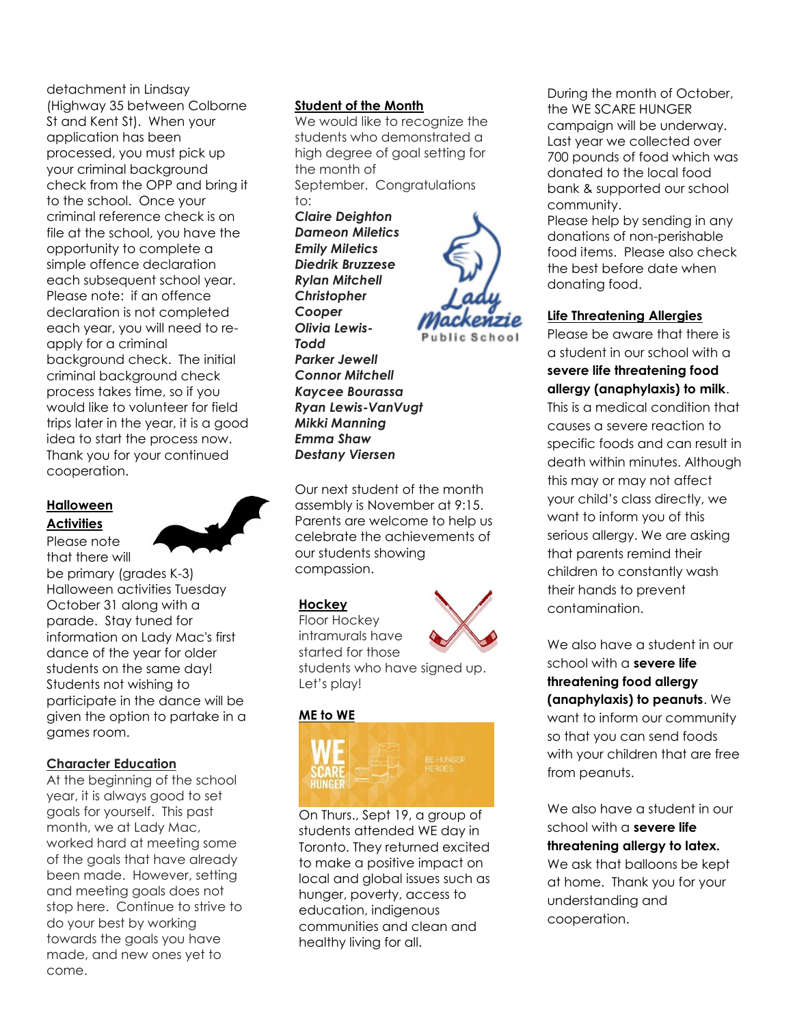detachment in Lindsay (Highway 35 between Colborne St and Kent St). When your application has been processed, you must pick up your criminal background check from the OPP and bring it to the school. Once your criminal reference check is on file at the school, you have the opportunity to complete a simple offence declaration each subsequent school year. Please note: if an offence declaration is not completed each year, you will need to reapply for a criminal background check. The initial criminal background check process takes time, so if you would like to volunteer for field trips later in the year, it is a good idea to start the process now. Thank you for your continued cooperation.

# **Halloween Activities**

Please note that there will be primary (grades K-3) Halloween activities Tuesday October 31 along with a parade. Stay tuned for information on Lady Mac's first dance of the year for older students on the same day!

Students not wishing to participate in the dance will be given the option to partake in a games room.

#### **Character Education**

At the beginning of the school year, it is always good to set goals for yourself. This past month, we at Lady Mac, worked hard at meeting some of the goals that have already been made. However, setting and meeting goals does not stop here. Continue to strive to do your best by working towards the goals you have made, and new ones yet to come.

#### **Student of the Month**

We would like to recognize the students who demonstrated a high degree of goal setting for the month of September. Congratulations

to: *Claire Deighton Dameon Miletics Emily Miletics Diedrik Bruzzese Rylan Mitchell Christopher Cooper Olivia Lewis-Todd Parker Jewell Connor Mitchell Kaycee Bourassa Ryan Lewis-VanVugt Mikki Manning Emma Shaw Destany Viersen*

![](_page_1_Picture_9.jpeg)

campaign will be underway. Last year we collected over 700 pounds of food which was donated to the local food bank & supported our school community. Please help by sending in any

During the month of October,

the WE SCARE HUNGER

donations of non-perishable food items. Please also check the best before date when donating food.

#### **Life Threatening Allergies**

Please be aware that there is a student in our school with a **severe life threatening food allergy (anaphylaxis) to milk**. This is a medical condition that causes a severe reaction to specific foods and can result in death within minutes. Although this may or may not affect your child's class directly, we want to inform you of this serious allergy. We are asking that parents remind their children to constantly wash their hands to prevent contamination.

We also have a student in our school with a **severe life threatening food allergy (anaphylaxis) to peanuts**. We want to inform our community so that you can send foods with your children that are free from peanuts.

We also have a student in our school with a **severe life threatening allergy to latex.** We ask that balloons be kept at home. Thank you for your understanding and cooperation.

![](_page_1_Picture_16.jpeg)

intramurals have started for those students who have signed up. Let's play!

Our next student of the month assembly is November at 9:15. Parents are welcome to help us celebrate the achievements of

our students showing

compassion.

**Hockey** Floor Hockey

#### **ME to WE**

![](_page_1_Picture_19.jpeg)

On Thurs., Sept 19, a group of students attended WE day in Toronto. They returned excited to make a positive impact on local and global issues such as hunger, poverty, access to education, indigenous communities and clean and healthy living for all.